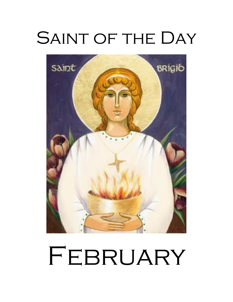# SAINT OF THE DAY



# FEBRUARY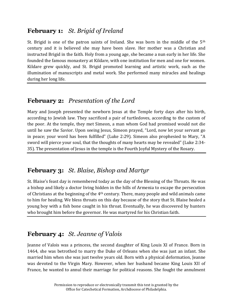#### **February 1:** *St. Brigid of Ireland*

St. Brigid is one of the patron saints of Ireland. She was born in the middle of the 5<sup>th</sup> century and it is believed she may have been slave. Her mother was a Christian and instructed Brigid in the faith. Holy from a young age, she became a nun early in her life. She founded the famous monastery at Kildare, with one institution for men and one for women. Kildare grew quickly, and St. Brigid promoted learning and artistic work, such as the illumination of manuscripts and metal work. She performed many miracles and healings during her long life.

#### **February 2:** *Presentation of the Lord*

Mary and Joseph presented the newborn Jesus at the Temple forty days after his birth, according to Jewish law. They sacrificed a pair of turtledoves, according to the custom of the poor. At the temple, they met Simeon, a man whom God had promised would not die until he saw the Savior. Upon seeing Jesus, Simeon prayed, "Lord, now let your servant go in peace; your word has been fulfilled" (Luke 2:29). Simeon also prophesied to Mary, "A sword will pierce your soul, that the thoughts of many hearts may be revealed" (Luke 2:34- 35). The presentation of Jesus in the temple is the Fourth Joyful Mystery of the Rosary.

#### **February 3:** *St. Blaise, Bishop and Martyr*

St. Blaise's feast day is remembered today as the day of the Blessing of the Throats. He was a bishop and likely a doctor living hidden in the hills of Armenia to escape the persecution of Christians at the beginning of the 4th century. There, many people and wild animals came to him for healing. We bless throats on this day because of the story that St. Blaise healed a young boy with a fish bone caught in his throat. Eventually, he was discovered by hunters who brought him before the governor. He was martyred for his Christian faith.

# **February 4:** *St. Jeanne of Valois*

Jeanne of Valois was a princess, the second daughter of King Louis XI of France. Born in 1464, she was betrothed to marry the Duke of Orleans when she was just an infant. She married him when she was just twelve years old. Born with a physical deformation, Jeanne was devoted to the Virgin Mary. However, when her husband became King Louis XII of France, he wanted to annul their marriage for political reasons. She fought the annulment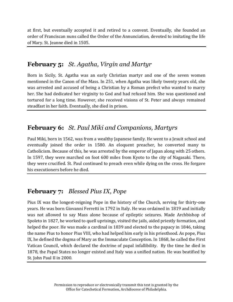at first, but eventually accepted it and retired to a convent. Eventually, she founded an order of Franciscan nuns called the Order of the Annunciation, devoted to imitating the life of Mary. St. Jeanne died in 1505.

#### **February 5:** *St. Agatha, Virgin and Martyr*

Born in Sicily, St. Agatha was an early Christian martyr and one of the seven women mentioned in the Canon of the Mass. In 251, when Agatha was likely twenty years old, she was arrested and accused of being a Christian by a Roman prefect who wanted to marry her. She had dedicated her virginity to God and had refused him. She was questioned and tortured for a long time. However, she received visions of St. Peter and always remained steadfast in her faith. Eventually, she died in prison.

#### **February 6:** *St. Paul Miki and Companions, Martyrs*

Paul Miki, born in 1562, was from a wealthy Japanese family. He went to a Jesuit school and eventually joined the order in 1580. An eloquent preacher, he converted many to Catholicism. Because of this, he was arrested by the emperor of Japan along with 25 others. In 1597, they were marched on foot 600 miles from Kyoto to the city of Nagasaki. There, they were crucified. St. Paul continued to preach even while dying on the cross. He forgave his executioners before he died.

#### **February 7:** *Blessed Pius IX, Pope*

Pius IX was the longest-reigning Pope in the history of the Church, serving for thirty-one years. He was born Giovanni Ferretti in 1792 in Italy. He was ordained in 1819 and initially was not allowed to say Mass alone because of epileptic seizures. Made Archbishop of Spoleto in 1827, he worked to quell uprisings, visited the jails, aided priestly formation, and helped the poor. He was made a cardinal in 1839 and elected to the papacy in 1846, taking the name Pius to honor Pius VIII, who had helped him early in his priesthood. As pope, Pius IX, he defined the dogma of Mary as the Immaculate Conception. In 1868, he called the First Vatican Council, which declared the doctrine of papal infallibility. By the time he died in 1878, the Papal States no longer existed and Italy was a unified nation. He was beatified by St. John Paul II in 2000.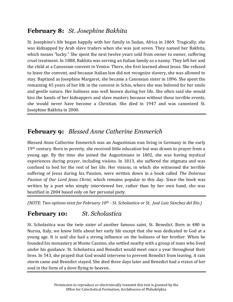# **February 8:** *St. Josephine Bakhita*

St. Josephine's life began happily with her family in Sudan, Africa in 1869. Tragically, she was kidnapped by Arab slave traders when she was just seven. They named her Bakhita, which means "lucky." She spent the next twelve years sold from owner to owner, suffering cruel treatment. In 1888, Bakhita was serving an Italian family as a nanny. They left her and the child at a Canossian convent in Venice. There, she first learned about Jesus. She refused to leave the convent, and because Italian law did not recognize slavery, she was allowed to stay. Baptized as Josephine Margaret, she became a Canossian sister in 1896. She spent the remaining 45 years of her life in the convent in Schio, where she was beloved for her smile and gentle nature. Her holiness was well known during her life. She often said she would kiss the hands of her kidnappers and slave masters because without those terrible events, she would never have become a Christian. She died in 1947 and was canonized St. Josephine Bakhita in 2000.

# **February 9:** *Blessed Anne Catherine Emmerich*

Blessed Anne Catherine Emmerich was an Augustinian nun living in Germany in the early 19<sup>th</sup> century. Born in poverty, she received little education but was drawn to prayer from a young age. By the time she joined the Augustinians in 1802, she was having mystical experiences during prayer, including visions. In 1813, she suffered the stigmata and was confined to bed for the rest of her life. Her visions, in which she witnessed the terrible suffering of Jesus during his Passion, were written down in a book called *The Dolorous Passion of Our Lord Jesus Christ*, which remains popular to this day. Since the book was written by a poet who simply interviewed her, rather than by her own hand, she was beatified in 2004 based only on her personal piety.

*(NOTE: Two options exist for February 10th - St. Scholastica or St. José Luis Sánchez del Río.)*

# **February 10:** *St. Scholastica*

St. Scholastica was the twin sister of another famous saint, St. Benedict. Born in 480 in Nursia, Italy, we know little about her early life except that she was dedicated to God at a young age. It is said she had a strong influence on the holiness of her brother. When he founded his monastery at Monte Cassino, she settled nearby with a group of nuns who lived under his guidance. St. Scholastica and Benedict would meet once a year throughout their lives. In 543, she prayed that God would intervene to prevent Benedict from leaving. A rain storm came and Benedict stayed. She died three days later and Benedict had a vision of her soul in the form of a dove flying to heaven.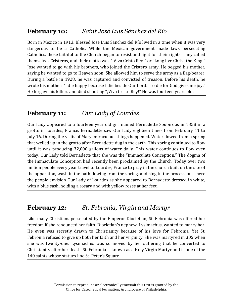#### **February 10:** *Saint José Luis Sánchez del Río*

Born in Mexico in 1913, Blessed José Luis Sánchez del Río lived in a time when it was very dangerous to be a Catholic. While the Mexican government made laws persecuting Catholics, those faithful to the Church began to resist and fight for their rights. They called themselves Cristeros, and their motto was "¡Viva Cristo Rey!" or "Long live Christ the King!" Jose wanted to go with his brothers, who joined the Cristero army. He begged his mother, saying he wanted to go to Heaven soon. She allowed him to serve the army as a flag-bearer. During a battle in 1928, he was captured and convicted of treason. Before his death, he wrote his mother: "I die happy because I die beside Our Lord…To die for God gives me joy." He forgave his killers and died shouting "¡Viva Cristo Rey!" He was fourteen years old.

# **February 11:** *Our Lady of Lourdes*

Our Lady appeared to a fourteen year old girl named Bernadette Soubirous in 1858 in a grotto in Lourdes, France. Bernadette saw Our Lady eighteen times from February 11 to July 16. During the visits of Mary, miraculous things happened. Water flowed from a spring that welled up in the grotto after Bernadette dug in the earth. This spring continued to flow until it was producing 32,000 gallons of water daily. This water continues to flow even today. Our Lady told Bernadette that she was the "Immaculate Conception." The dogma of the Immaculate Conception had recently been proclaimed by the Church. Today over two million people every year travel to Lourdes, France to pray in the church built on the site of the apparition, wash in the bath flowing from the spring, and sing in the procession. There the people envision Our Lady of Lourdes as she appeared to Bernadette dressed in white, with a blue sash, holding a rosary and with yellow roses at her feet.

#### **February 12:** *St. Febronia, Virgin and Martyr*

Like many Christians persecuted by the Emperor Diocletian, St. Febronia was offered her freedom if she renounced her faith. Diocletian's nephew, Lysimachus, wanted to marry her. He even was secretly drawn to Christianity because of his love for Febronia. Yet St. Febronia refused to give up both her faith and her virginity. She was martyred in 305 when she was twenty-one. Lysimachus was so moved by her suffering that he converted to Christianity after her death. St. Febronia is known as a Holy Virgin Martyr and is one of the 140 saints whose statues line St. Peter's Square.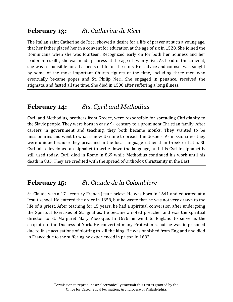#### **February 13:** *St. Catherine de Ricci*

The Italian saint Catherine de Ricci showed a desire for a life of prayer at such a young age, that her father placed her in a convent for education at the age of six in 1528. She joined the Dominicans when she was fourteen. Recognized early on for both her holiness and her leadership skills, she was made prioress at the age of twenty five. As head of the convent, she was responsible for all aspects of life for the nuns. Her advice and counsel was sought by some of the most important Church figures of the time, including three men who eventually became popes and St. Philip Neri. She engaged in penance, received the stigmata, and fasted all the time. She died in 1590 after suffering a long illness.

#### **February 14:** *Sts. Cyril and Methodius*

Cyril and Methodius, brothers from Greece, were responsible for spreading Christianity to the Slavic people. They were born in early 9th century to a prominent Christian family. After careers in government and teaching, they both became monks. They wanted to be missionaries and went to what is now Ukraine to preach the Gospels. As missionaries they were unique because they preached in the local language rather than Greek or Latin. St. Cyril also developed an alphabet to write down the language, and this Cyrilic alphabet is still used today. Cyril died in Rome in 869 while Methodius continued his work until his death in 885. They are credited with the spread of Orthodox Christianity in the East.

#### **February 15:** *St. Claude de la Colombiere*

St. Claude was a 17th century French Jesuit priest. He was born in 1641 and educated at a Jesuit school. He entered the order in 1658, but he wrote that he was not very drawn to the life of a priest. After teaching for 15 years, he had a spiritual conversion after undergoing the Spiritual Exercises of St. Ignatius. He became a noted preacher and was the spiritual director to St. Margaret Mary Alocoque. In 1676 he went to England to serve as the chaplain to the Duchess of York. He converted many Protestants, but he was imprisoned due to false accusations of plotting to kill the king. He was banished from England and died in France due to the suffering he experienced in prison in 1682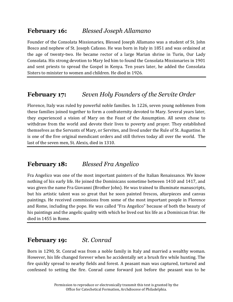#### **February 16:** *Blessed Joseph Allamano*

Founder of the Consolata Missionaries, Blessed Joseph Allamano was a student of St. John Bosco and nephew of St. Joseph Cafasso. He was born in Italy in 1851 and was ordained at the age of twenty-two. He became rector of a large Marian shrine in Turin, Our Lady Consolata. His strong devotion to Mary led him to found the Consolata Missionaries in 1901 and sent priests to spread the Gospel in Kenya. Ten years later, he added the Consolata Sisters to minister to women and children. He died in 1926.

# **February 17:** *Seven Holy Founders of the Servite Order*

Florence, Italy was ruled by powerful noble families. In 1226, seven young noblemen from these families joined together to form a confraternity devoted to Mary. Several years later, they experienced a vision of Mary on the Feast of the Assumption. All seven chose to withdraw from the world and devote their lives to poverty and prayer. They established themselves as the Servants of Mary, or Servites, and lived under the Rule of St. Augustine. It is one of the five original mendicant orders and still thrives today all over the world. The last of the seven men, St. Alexis, died in 1310.

#### **February 18:** *Blessed Fra Angelico*

Fra Angelico was one of the most important painters of the Italian Renaissance. We know nothing of his early life. He joined the Dominicans sometime between 1410 and 1417, and was given the name Fra Giovanni (Brother John). He was trained to illuminate manuscripts, but his artistic talent was so great that he soon painted frescos, altarpieces and canvas paintings. He received commissions from some of the most important people in Florence and Rome, including the pope. He was called "Fra Angelico" because of both the beauty of his paintings and the angelic quality with which he lived out his life as a Dominican friar. He died in 1455 in Rome.

#### **February 19:** *St. Conrad*

Born in 1290, St. Conrad was from a noble family in Italy and married a wealthy woman. However, his life changed forever when he accidentally set a brush fire while hunting. The fire quickly spread to nearby fields and forest. A peasant man was captured, tortured and confessed to setting the fire. Conrad came forward just before the peasant was to be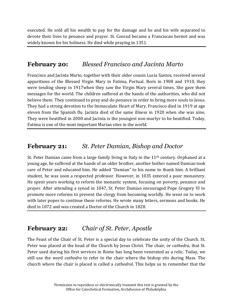executed. He sold all his wealth to pay for the damage and he and his wife separated to devote their lives to penance and prayer. St. Conrad became a Franciscan hermit and was widely known for his holiness. He died while praying in 1351.

#### **February 20:** *Blessed Francisco and Jacinta Marto*

Francisco and Jacinta Marto, together with their older cousin Lucia Santos, received several apparitions of the Blessed Virgin Mary in Fatima, Portual. Born in 1908 and 1910, they were tending sheep in 1917when they saw the Virgin Mary several times. She gave them messages for the world. The children suffered at the hands of the authorities, who did not believe them. They continued to pray and do penance in order to bring more souls to Jesus. They had a strong devotion to the Immaculate Heart of Mary. Francisco died in 1919 at age eleven from the Spanish flu. Jacinta died of the same illness in 1920 when she was nine. They were beatified in 2000 and Jacinta is the youngest non-martyr to be beatified. Today, Fatima is one of the most important Marian sites in the world.

#### **February 21:** *St. Peter Damian, Bishop and Doctor*

St. Peter Damian came from a large family living in Italy in the  $11<sup>th</sup>$  century. Orphaned at a young age, he suffered at the hands of an older brother, another bother named Damian took care of Peter and educated him. He added "Damian" to his name to thank him. A brilliant student, he was soon a respected professor. However, in 1035 entered a poor monastery. He spent years working to reform the monastic system, focusing on poverty, penance and prayer. After attending a synod in 1047, St. Peter Damian encouraged Pope Gregory VI to promote more reforms to prevent the clergy from becoming worldly. He went on to work with later popes to continue these reforms. He wrote many letters, sermons and books. He died in 1072 and was created a Doctor of the Church in 1828.

#### **February 22:** *Chair of St. Peter, Apostle*

The Feast of the Chair of St. Peter is a special day to celebrate the unity of the Church. St. Peter was placed at the head of the Church by Jesus Christ. The chair, or *cathedra*, that St. Peter used during his first services in Rome has long been venerated as a relic. Today, we still use the word *cathedra* to refer to the chair where the bishop sits during Mass. The church where the chair is placed is called a *cathedral*. This helps us to remember that the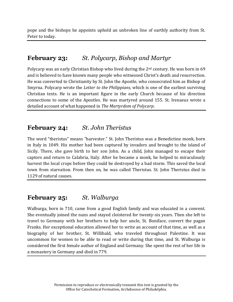pope and the bishops he appoints uphold an unbroken line of earthly authority from St. Peter to today.

#### **February 23:** *St. Polycarp, Bishop and Martyr*

Polycarp was an early Christian Bishop who lived during the 2<sup>nd</sup> century. He was born in 69 and is believed to have known many people who witnessed Christ's death and resurrection. He was converted to Christianity by St. John the Apostle, who consecrated him as Bishop of Smyrna. Polycarp wrote the *Letter to the Philippians*, which is one of the earliest surviving Christian texts. He is an important figure in the early Church because of his direction connections to some of the Apostles. He was martyred around 155. St. Irenaeus wrote a detailed account of what happened in *The Martyrdom of Polycarp*.

#### **February 24:** *St. John Theristus*

The word "theristus" means "harvester." St. John Theristus was a Benedictine monk, born in Italy in 1049. His mother had been captured by invaders and brought to the island of Sicily. There, she gave birth to her son John. As a child, John managed to escape their captors and return to Calabria, Italy. After he became a monk, he helped to miraculously harvest the local crops before they could be destroyed by a bad storm. This saved the local town from starvation. From then on, he was called Theristus. St. John Theristus died in 1129 of natural causes.

#### **February 25:** *St. Walburga*

Walburga, born in 710, came from a good English family and was educated in a convent. She eventually joined the nuns and stayed cloistered for twenty-six years. Then she left to travel to Germany with her brothers to help her uncle, St. Boniface, convert the pagan Franks. Her exceptional education allowed her to write an account of that time, as well as a biography of her brother, St. Willibald, who traveled throughout Palestine. It was uncommon for women to be able to read or write during that time, and St. Walburga is considered the first female author of England and Germany. She spent the rest of her life in a monastery in Germany and died in 779.